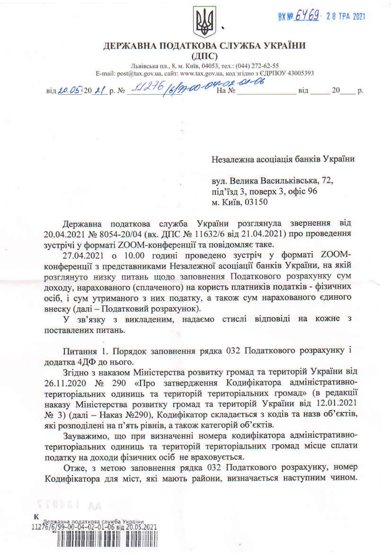

ВХ № 6469 - 28 ТРА 2021

від 20 р.

## ДЕРЖАВНА ПОДАТКОВА СЛУЖБА УКРАЇНИ  $(IIIC)$

Львівська пл., 8, м. Київ, 04053, тел.: (044) 272-62-55 E-mail: post@tax.gov.ua, сайт: www.tax.gov.ua, код згідно з ЄДРПОУ 43005393

Bin 20.05:20 21 p. No 11276 16/9900-04-02-01-06

Незалежна асоціація банків України

вул. Велика Васильківська, 72, під'їзд 3, поверх 3, офіс 96 м. Київ, 03150

Державна податкова служба України розглянула звернення від 20.04.2021 № 8054-20/04 (вх. ДПС № 11632/6 від 21.04.2021) про проведення зустрічі у форматі ZOOM-конференції та повідомляє таке.

27.04.2021 о 10.00 годині проведено зустріч у форматі ZOOMконференції з представниками Незалежної асоціації банків України, на якій розглянуто низку питань щодо заповнення Податкового розрахунку сум доходу, нарахованого (сплаченого) на користь платників податків - фізичних осіб, і сум утриманого з них податку, а також сум нарахованого єдиного внеску (далі - Податковий розрахунок).

У зв'язку з викладеним, надаємо стислі відповіді на кожне з поставлених питань.

Питання 1. Порядок заповнення рядка 032 Податкового розрахунку і додатка 4ДФ до нього.

Згідно з наказом Міністерства розвитку громад та територій України від 26.11.2020 № 290 «Про затвердження Кодифікатора адміністративнотериторіальних одиниць та територій територіальних громад» (в редакції наказу Міністерства розвитку громад та територій України від 12.01.2021 № 3) (далі - Наказ №290), Кодифікатор складається з кодів та назв об'єктів, які розподілені на п'ять рівнів, а також категорій об'єктів.

Зауважимо, що при визначенні номера кодифікатора адміністративнотериторіальних одиниць та територій територіальних громад місце сплати податку на доходи фізичних осіб не враховується.

Отже, з метою заповнення рядка 032 Податкового розрахунку, номер Кодифікатора для міст, які мають райони, визначається наступним чином.

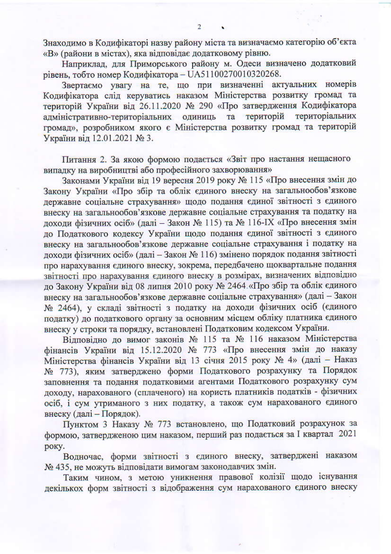Знаходимо в Кодифікаторі назву району міста та визначаємо категорію об'єкта «В» (райони в містах), яка відповідає додатковому рівню.

 $\overline{2}$ 

Наприклад, для Приморського району м. Одеси визначено додатковий рівень, тобто номер Кодифікатора - UA51100270010320268.

Звертаємо увагу на те, що при визначенні актуальних номерів Кодифікатора слід керуватись наказом Міністерства розвитку громад та територій України від 26.11.2020 № 290 «Про затвердження Кодифікатора адміністративно-територіальних одиниць та територій територіальних громад», розробником якого є Міністерства розвитку громад та територій України від 12.01.2021 № 3.

Питання 2. За якою формою подається «Звіт про настання нещасного випалку на виробництві або професійного захворювання»

Законами України від 19 вересня 2019 року № 115 «Про внесення змін до Закону України «Про збір та облік єдиного внеску на загальнообов'язкове державне соціальне страхування» щодо подання єдиної звітності з єдиного внеску на загальнообов'язкове державне соціальне страхування та податку на доходи фізичних осіб» (далі - Закон № 115) та № 116-IX «Про внесення змін до Податкового кодексу України щодо подання єдиної звітності з єдиного внеску на загальнообов'язкове державне соціальне страхування і податку на доходи фізичних осіб» (далі - Закон № 116) змінено порядок подання звітності про нарахування єдиного внеску, зокрема, передбачено щоквартальне подання звітності про нарахування єдиного внеску в розмірах, визначених відповідно до Закону України від 08 липня 2010 року № 2464 «Про збір та облік єдиного внеску на загальнообов'язкове державне соціальне страхування» (далі - Закон № 2464), у складі звітності з податку на доходи фізичних осіб (єдиного податку) до податкового органу за основним місцем обліку платника єдиного внеску у строки та порядку, встановлені Податковим кодексом України.

Відповідно до вимог законів № 115 та № 116 наказом Міністерства фінансів України від 15.12.2020 № 773 «Про внесення змін до наказу Міністерства фінансів України від 13 січня 2015 року № 4» (далі - Наказ № 773), яким затверджено форми Податкового розрахунку та Порядок заповнення та подання податковими агентами Податкового розрахунку сум доходу, нарахованого (сплаченого) на користь платників податків - фізичних осіб, і сум утриманого з них податку, а також сум нарахованого єдиного внеску (далі - Порядок).

Пунктом 3 Наказу № 773 встановлено, що Податковий розрахунок за формою, затвердженою цим наказом, перший раз подається за І квартал 2021 року.

Водночас, форми звітності з єдиного внеску, затверджені наказом № 435, не можуть відповідати вимогам законодавчих змін.

Таким чином, з метою уникнення правової колізії щодо існування декількох форм звітності з відображення сум нарахованого єдиного внеску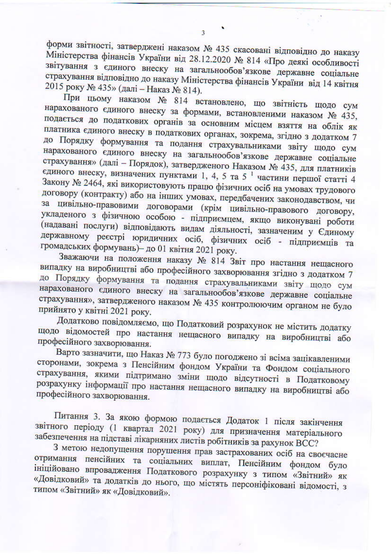форми звітності, затверджені наказом № 435 скасовані відповідно до наказу Міністерства фінансів України від 28.12.2020 № 814 «Про деякі особливості звітування з єдиного внеску на загальнообов'язкове державне соціальне страхування відповідно до наказу Міністерства фінансів України від 14 квітня 2015 року № 435» (далі - Наказ № 814).

 $\overline{3}$ 

При цьому наказом № 814 встановлено, що звітність щодо сум нарахованого єдиного внеску за формами, встановленими наказом № 435, подається до податкових органів за основним місцем взяття на облік як платника єдиного внеску в податкових органах, зокрема, згідно з додатком 7 до Порядку формування та подання страхувальниками звіту щодо сум нарахованого єдиного внеску на загальнообов'язкове державне соціальне страхування» (далі - Порядок), затвердженого Наказом № 435, для платників єдиного внеску, визначених пунктами 1, 4, 5 та 5<sup>1</sup> частини першої статті 4 Закону № 2464, які використовують працю фізичних осіб на умовах трудового договору (контракту) або на інших умовах, передбачених законодавством, чи за цивільно-правовими договорами (крім цивільно-правового договору, укладеного з фізичною особою - підприємцем, якщо виконувані роботи (надавані послуги) відповідають видам діяльності, зазначеним у Єдиному державному реєстрі юридичних осіб, фізичних осіб - підприємців та громадських формувань)- до 01 квітня 2021 року.

Зважаючи на положення наказу № 814 Звіт про настання нещасного випадку на виробництві або професійного захворювання згідно з додатком 7 до Порядку формування та подання страхувальниками звіту щодо сум нарахованого єдиного внеску на загальнообов'язкове державне соціальне страхування», затвердженого наказом № 435 контролюючим органом не було прийнято у квітні 2021 року.

Додатково повідомляємо, що Податковий розрахунок не містить додатку щодо відомостей про настання нещасного випадку на виробництві або професійного захворювання.

Варто зазначити, що Наказ № 773 було погоджено зі всіма зацікавленими сторонами, зокрема з Пенсійним фондом України та Фондом соціального страхування, якими підтримано зміни щодо відсутності в Податковому розрахунку інформації про настання нещасного випадку на виробництві або професійного захворювання.

Питання 3. За якою формою подається Додаток 1 після закінчення звітного періоду (1 квартал 2021 року) для призначення матеріального забезпечення на підставі лікарняних листів робітників за рахунок ВСС?

З метою недопущення порушення прав застрахованих осіб на своєчасне отримання пенсійних та соціальних виплат, Пенсійним фондом було ініційовано впровадження Податкового розрахунку з типом «Звітний» як «Довідковий» та додатків до нього, що містять персоніфіковані відомості, з типом «Звітний» як «Довідковий».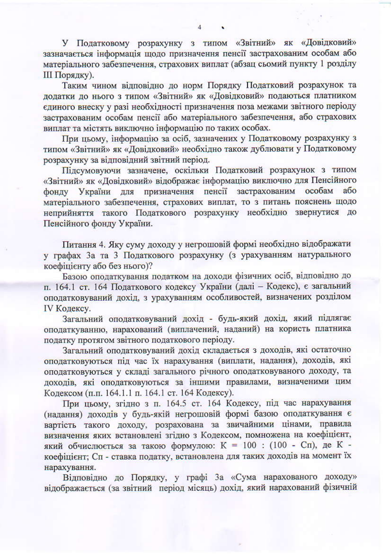У Податковому розрахунку з типом «Звітний» як «Довідковий» зазначається інформація щодо призначення пенсії застрахованим особам або матеріального забезпечення, страхових виплат (абзац сьомий пункту 1 розділу **III** Порядку).

Таким чином відповідно до норм Порядку Податковий розрахунок та додатки до нього з типом «Звітний» як «Довідковий» подаються платником єдиного внеску у разі необхідності призначення поза межами звітного періоду застрахованим особам пенсії або матеріального забезпечення, або страхових виплат та містять виключно інформацію по таких особах.

При цьому, інформацію за осіб, зазначених у Податковому розрахунку з типом «Звітний» як «Довідковий» необхідно також дублювати у Податковому розрахунку за відповідний звітний період.

Підсумовуючи зазначене, оскільки Податковий розрахунок з типом «Звітний» як «Довідковий» відображає інформацію виключно для Пенсійного України для призначення пенсії застрахованим особам або фонду матеріального забезпечення, страхових виплат, то з питань пояснень щодо неприйняття такого Податкового розрахунку необхідно звернутися до Пенсійного фонду України.

Питання 4. Яку суму доходу у негрошовій формі необхідно відображати у графах За та 3 Податкового розрахунку (з урахуванням натурального коефіцієнту або без нього)?

Базою оподаткування податком на доходи фізичних осіб, відповідно до п. 164.1 ст. 164 Податкового кодексу України (далі - Кодекс), є загальний оподатковуваний дохід, з урахуванням особливостей, визначених розділом IV Кодексу.

Загальний оподатковуваний дохід - будь-який дохід, який підлягає оподаткуванню, нарахований (виплачений, наданий) на користь платника податку протягом звітного податкового періоду.

Загальний оподатковуваний дохід складається з доходів, які остаточно оподатковуються під час їх нарахування (виплати, надання), доходів, які оподатковуються у складі загального річного оподатковуваного доходу, та доходів, які оподатковуються за іншими правилами, визначеними цим Кодексом (п.п. 164.1.1 п. 164.1 ст. 164 Кодексу).

При цьому, згідно з п. 164.5 ст. 164 Кодексу, під час нарахування (надання) доходів у будь-якій негрошовій формі базою оподаткування є вартість такого доходу, розрахована за звичайними цінами, правила визначення яких встановлені згідно з Кодексом, помножена на коефіцієнт, який обчислюється за такою формулою: К = 100: (100 - Сп), де К коефіцієнт; Сп - ставка податку, встановлена для таких доходів на момент їх нарахування.

Відповідно до Порядку, у графі За «Сума нарахованого доходу» відображається (за звітний період місяць) дохід, який нарахований фізичній